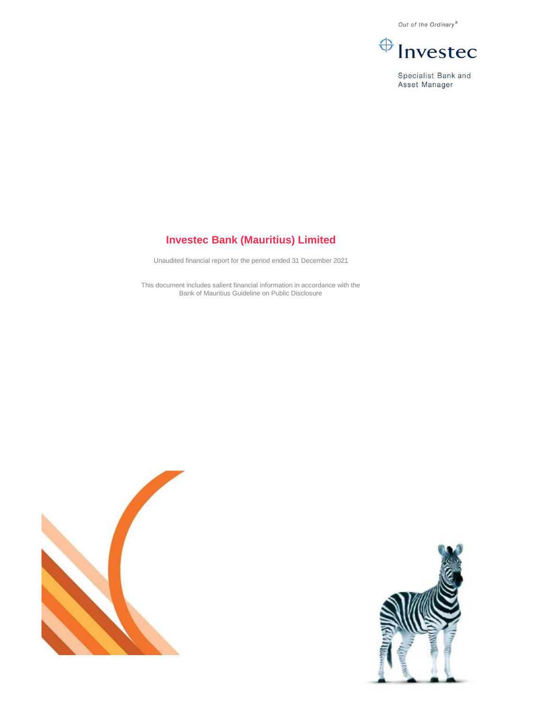Out of the Ordinary®



Specialist Bank and Asset Manager

# **Investec Bank (Mauritius) Limited**

Unaudited financial report for the period ended 31 December 2021

This document includes salient financial information in accordance with the Bank of Mauritius Guideline on Public Disclosure



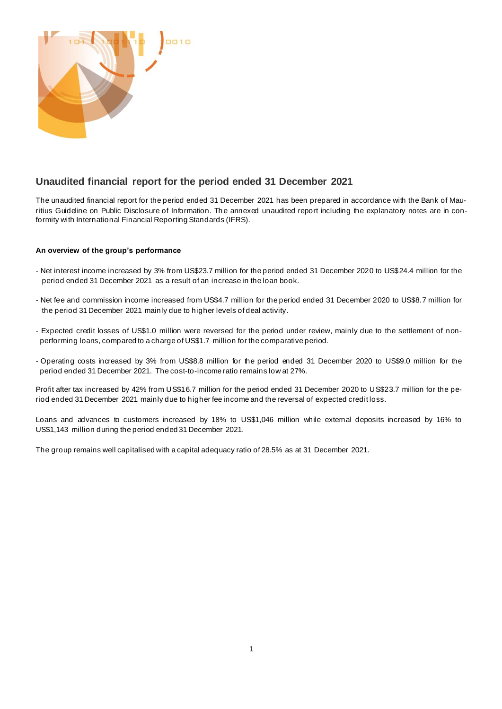

# **Unaudited financial report for the period ended 31 December 2021**

The unaudited financial report for the period ended 31 December 2021 has been prepared in accordance with the Bank of Mauritius Guideline on Public Disclosure of Information. The annexed unaudited report including the explanatory notes are in conformity with International Financial Reporting Standards (IFRS).

# **An overview of the group's performance**

- Net interest income increased by 3% from US\$23.7 million for the period ended 31 December 2020 to US\$24.4 million for the period ended 31 December 2021 as a result of an increase in the loan book.
- Net fee and commission income increased from US\$4.7 million for the period ended 31 December 2020 to US\$8.7 million for the period 31 December 2021 mainly due to higher levels of deal activity.
- Expected credit losses of US\$1.0 million were reversed for the period under review, mainly due to the settlement of nonperforming loans, compared to a charge of US\$1.7 million for the comparative period.
- Operating costs increased by 3% from US\$8.8 million for the period ended 31 December 2020 to US\$9.0 million for the period ended 31 December 2021. The cost-to-income ratio remains low at 27%.

Profit after tax increased by 42% from US\$16.7 million for the period ended 31 December 2020 to US\$23.7 million for the period ended 31 December 2021 mainly due to higher fee income and the reversal of expected credit loss.

Loans and advances to customers increased by 18% to US\$1,046 million while external deposits increased by 16% to US\$1,143 million during the period ended 31 December 2021.

The group remains well capitalised with a capital adequacy ratio of 28.5% as at 31 December 2021.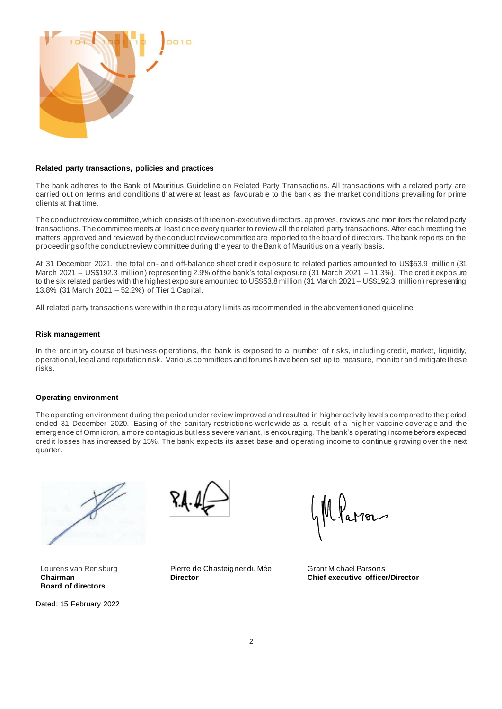

### **Related party transactions, policies and practices**

The bank adheres to the Bank of Mauritius Guideline on Related Party Transactions. All transactions with a related party are carried out on terms and conditions that were at least as favourable to the bank as the market conditions prevailing for prime clients at that time.

The conduct review committee, which consists of three non-executive directors, approves, reviews and monitors the related party transactions. The committee meets at least once every quarter to review all the related party transactions. After each meeting the matters approved and reviewed by the conduct review committee are reported to the board of directors. The bank reports on the proceedings of the conduct review committee during the year to the Bank of Mauritius on a yearly basis.

At 31 December 2021, the total on- and off-balance sheet credit exposure to related parties amounted to US\$53.9 million (31 March 2021 – US\$192.3 million) representing 2.9% of the bank's total exposure (31 March 2021 – 11.3%). The credit exposure to the six related parties with the highest exposure amounted to US\$53.8 million (31 March 2021 – US\$192.3 million) representing 13.8% (31 March 2021 – 52.2%) of Tier 1 Capital.

All related party transactions were within the regulatory limits as recommended in the abovementioned guideline.

### **Risk management**

In the ordinary course of business operations, the bank is exposed to a number of risks, including credit, market, liquidity, operational, legal and reputation risk. Various committees and forums have been set up to measure, monitor and mitigate these risks.

### **Operating environment**

The operating environment during the period under review improved and resulted in higher activity levels compared to the period ended 31 December 2020. Easing of the sanitary restrictions worldwide as a result of a higher vaccine coverage and the emergence of Omnicron, a more contagious but less severe variant, is encouraging. The bank's operating income before expected credit losses has increased by 15%. The bank expects its asset base and operating income to continue growing over the next quarter.



Lourens van Rensburg **Chairman Board of directors**

Dated: 15 February 2022



Pierre de Chasteigner du Mée **Director**

Mfaron

Grant Michael Parsons **Chief executive officer/Director**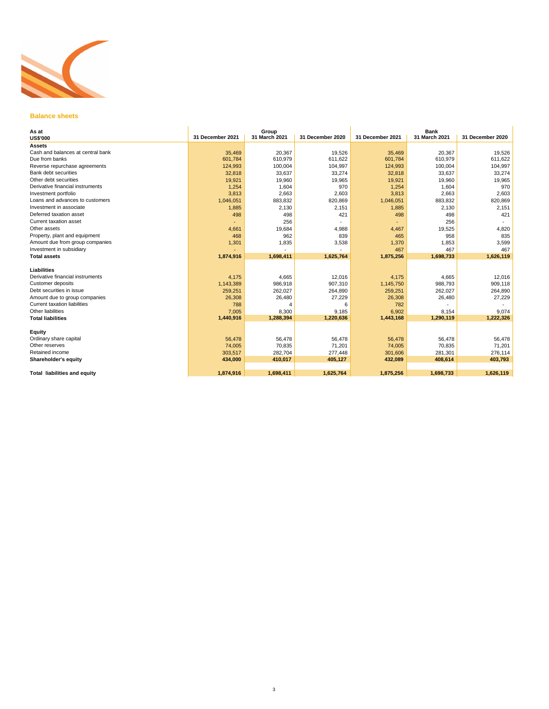

### **Balance sheets**

| 31 December 2021<br>35,469<br>601,784 | Group<br>31 March 2021<br>20,367                                                                                         | 31 December 2020                                                                                           | 31 December 2021                                                                                  | <b>Bank</b><br>31 March 2021                                                                                  | 31 December 2020                                                                             |
|---------------------------------------|--------------------------------------------------------------------------------------------------------------------------|------------------------------------------------------------------------------------------------------------|---------------------------------------------------------------------------------------------------|---------------------------------------------------------------------------------------------------------------|----------------------------------------------------------------------------------------------|
|                                       |                                                                                                                          |                                                                                                            |                                                                                                   |                                                                                                               |                                                                                              |
|                                       |                                                                                                                          |                                                                                                            |                                                                                                   |                                                                                                               |                                                                                              |
|                                       |                                                                                                                          |                                                                                                            |                                                                                                   |                                                                                                               |                                                                                              |
|                                       |                                                                                                                          | 19,526                                                                                                     | 35,469                                                                                            | 20,367                                                                                                        | 19,526                                                                                       |
|                                       | 610,979                                                                                                                  | 611,622                                                                                                    | 601,784                                                                                           | 610,979                                                                                                       | 611,622                                                                                      |
|                                       | 100,004                                                                                                                  | 104,997                                                                                                    | 124,993                                                                                           | 100,004                                                                                                       | 104,997                                                                                      |
| 32,818                                | 33,637                                                                                                                   | 33,274                                                                                                     | 32,818                                                                                            | 33,637                                                                                                        | 33,274                                                                                       |
| 19,921                                | 19,960                                                                                                                   | 19,965                                                                                                     | 19,921                                                                                            | 19,960                                                                                                        | 19,965                                                                                       |
| 1,254                                 | 1,604                                                                                                                    | 970                                                                                                        | 1,254                                                                                             | 1,604                                                                                                         | 970                                                                                          |
| 3,813                                 | 2,663                                                                                                                    | 2.603                                                                                                      | 3,813                                                                                             | 2,663                                                                                                         | 2,603                                                                                        |
| 1,046,051                             | 883,832                                                                                                                  | 820,869                                                                                                    | 1,046,051                                                                                         | 883,832                                                                                                       | 820,869                                                                                      |
| 1,885                                 | 2,130                                                                                                                    | 2,151                                                                                                      | 1,885                                                                                             | 2,130                                                                                                         | 2,151                                                                                        |
| 498                                   | 498                                                                                                                      | 421                                                                                                        | 498                                                                                               | 498                                                                                                           | 421                                                                                          |
|                                       | 256                                                                                                                      |                                                                                                            |                                                                                                   | 256                                                                                                           |                                                                                              |
|                                       |                                                                                                                          |                                                                                                            |                                                                                                   |                                                                                                               | 4,820                                                                                        |
| 468                                   | 962                                                                                                                      | 839                                                                                                        | 465                                                                                               | 958                                                                                                           | 835                                                                                          |
|                                       |                                                                                                                          | 3,538                                                                                                      |                                                                                                   | 1,853                                                                                                         | 3,599                                                                                        |
|                                       |                                                                                                                          |                                                                                                            | 467                                                                                               | 467                                                                                                           | 467                                                                                          |
| 1,874,916                             | 1,698,411                                                                                                                | 1,625,764                                                                                                  | 1,875,256                                                                                         | 1,698,733                                                                                                     | 1,626,119                                                                                    |
|                                       |                                                                                                                          |                                                                                                            |                                                                                                   |                                                                                                               |                                                                                              |
|                                       |                                                                                                                          |                                                                                                            |                                                                                                   |                                                                                                               |                                                                                              |
|                                       |                                                                                                                          |                                                                                                            |                                                                                                   |                                                                                                               | 12,016                                                                                       |
|                                       |                                                                                                                          |                                                                                                            |                                                                                                   |                                                                                                               | 909,118                                                                                      |
|                                       |                                                                                                                          |                                                                                                            |                                                                                                   |                                                                                                               | 264,890                                                                                      |
|                                       |                                                                                                                          |                                                                                                            |                                                                                                   |                                                                                                               | 27,229                                                                                       |
|                                       |                                                                                                                          |                                                                                                            |                                                                                                   |                                                                                                               |                                                                                              |
|                                       |                                                                                                                          |                                                                                                            |                                                                                                   |                                                                                                               | 9,074                                                                                        |
|                                       |                                                                                                                          |                                                                                                            |                                                                                                   |                                                                                                               | 1,222,326                                                                                    |
|                                       |                                                                                                                          |                                                                                                            |                                                                                                   |                                                                                                               |                                                                                              |
| 56.478                                | 56,478                                                                                                                   | 56.478                                                                                                     | 56,478                                                                                            | 56.478                                                                                                        | 56.478                                                                                       |
|                                       |                                                                                                                          |                                                                                                            |                                                                                                   |                                                                                                               | 71,201                                                                                       |
| 303,517                               | 282,704                                                                                                                  | 277,448                                                                                                    | 301,606                                                                                           | 281,301                                                                                                       | 276,114                                                                                      |
| 434,000                               | 410,017                                                                                                                  | 405,127                                                                                                    | 432,089                                                                                           | 408,614                                                                                                       | 403,793                                                                                      |
|                                       |                                                                                                                          |                                                                                                            |                                                                                                   |                                                                                                               | 1,626,119                                                                                    |
|                                       | 124,993<br>4,661<br>1,301<br>4,175<br>1,143,389<br>259,251<br>26,308<br>788<br>7.005<br>1,440,916<br>74,005<br>1,874,916 | 19,684<br>1,835<br>4,665<br>986,918<br>262,027<br>26,480<br>4<br>8,300<br>1,288,394<br>70,835<br>1,698,411 | 4,988<br>12,016<br>907,310<br>264,890<br>27,229<br>6<br>9.185<br>1,220,636<br>71,201<br>1,625,764 | 4,467<br>1,370<br>4,175<br>1,145,750<br>259,251<br>26,308<br>782<br>6,902<br>1,443,168<br>74,005<br>1,875,256 | 19,525<br>4,665<br>988,793<br>262,027<br>26,480<br>8.154<br>1,290,119<br>70,835<br>1,698,733 |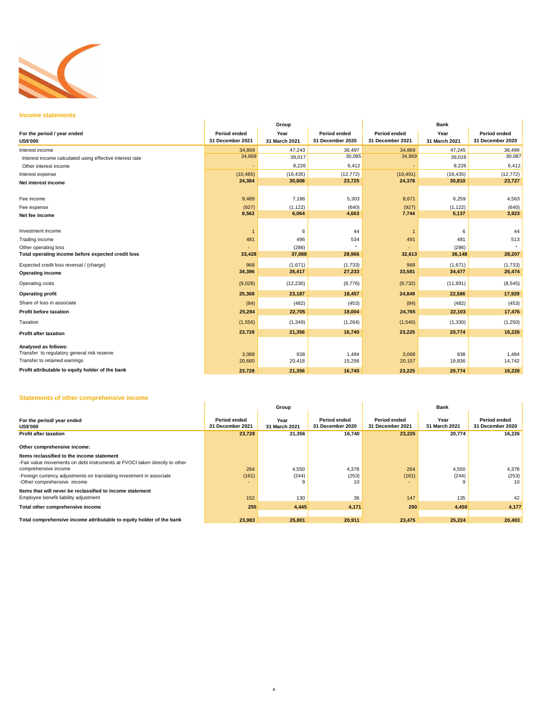

### **Income statements**

| <b>Income statements</b>                                            |                  |               |                  |                  |               |                  |  |  |  |
|---------------------------------------------------------------------|------------------|---------------|------------------|------------------|---------------|------------------|--|--|--|
|                                                                     |                  | Group         |                  | <b>Bank</b>      |               |                  |  |  |  |
| For the period / year ended                                         | Period ended     | Year          | Period ended     | Period ended     | Year          | Period ended     |  |  |  |
| <b>US\$'000</b>                                                     | 31 December 2021 | 31 March 2021 | 31 December 2020 | 31 December 2021 | 31 March 2021 | 31 December 2020 |  |  |  |
| Interest income                                                     | 34,869           | 47,243        | 36,497           | 34,869           | 47,245        | 36,499           |  |  |  |
| Interest income calculated using effective interest rate            | 34,869           | 39,017        | 30,085           | 34,869           | 39,019        | 30,087           |  |  |  |
| Other interest income                                               |                  | 8,226         | 6,412            |                  | 8,226         | 6,412            |  |  |  |
| Interest expense                                                    | (10, 485)        | (16, 435)     | (12, 772)        | (10, 491)        | (16, 435)     | (12, 772)        |  |  |  |
| Net interest income                                                 | 24,384           | 30,808        | 23,725           | 24,378           | 30,810        | 23,727           |  |  |  |
| Fee income                                                          | 9,489            | 7,186         | 5,303            | 8,671            | 6,259         | 4,563            |  |  |  |
| Fee expense                                                         | (927)            | (1, 122)      | (640)            | (927)            | (1, 122)      | (640)            |  |  |  |
| Net fee income                                                      | 8,562            | 6,064         | 4,663            | 7,744            | 5,137         | 3,923            |  |  |  |
| Investment income                                                   | $\overline{1}$   | 6             | 44               | $\mathbf{1}$     | 6             | 44               |  |  |  |
| Trading income                                                      | 481              | 496           | 534              | 491              | 481           | 513              |  |  |  |
| Other operating loss                                                |                  | (286)         |                  |                  | (286)         | $\sim$           |  |  |  |
| Total operating income before expected credit loss                  | 33,428           | 37,088        | 28,966           | 32,613           | 36,148        | 28,207           |  |  |  |
| Expected credit loss reversal / (charge)                            | 968              | (1,671)       | (1,733)          | 968              | (1,671)       | (1,733)          |  |  |  |
| <b>Operating income</b>                                             | 34,396           | 35,417        | 27,233           | 33,581           | 34,477        | 26,474           |  |  |  |
| Operating costs                                                     | (9,028)          | (12, 230)     | (8,776)          | (8, 732)         | (11, 891)     | (8, 545)         |  |  |  |
| <b>Operating profit</b>                                             | 25,368           | 23,187        | 18,457           | 24,849           | 22,586        | 17,929           |  |  |  |
| Share of loss in associate                                          | (84)             | (482)         | (453)            | (84)             | (482)         | (453)            |  |  |  |
| <b>Profit before taxation</b>                                       | 25,284           | 22,705        | 18,004           | 24,765           | 22,103        | 17,476           |  |  |  |
| Taxation                                                            | (1, 556)         | (1, 349)      | (1,264)          | (1,540)          | (1, 330)      | (1, 250)         |  |  |  |
| <b>Profit after taxation</b>                                        | 23,728           | 21,356        | 16,740           | 23,225           | 20,774        | 16,226           |  |  |  |
| Analysed as follows:<br>Transfer to regulatory general risk reserve |                  |               |                  |                  |               |                  |  |  |  |
| Transfer to retained earnings                                       | 3,068<br>20,660  | 938<br>20,418 | 1,484<br>15,256  | 3,068<br>20,157  | 938<br>19,836 | 1,484<br>14,742  |  |  |  |
| Profit attributable to equity holder of the bank                    | 23.728           | 21.356        | 16.740           | 23.225           | 20.774        | 16,226           |  |  |  |

## **Statements of other comprehensive income**

| Statements of other comprehensive income                                                                                                                                                                                                                |                                  |                       |                                         |                                  |                       |                                  |  |  |
|---------------------------------------------------------------------------------------------------------------------------------------------------------------------------------------------------------------------------------------------------------|----------------------------------|-----------------------|-----------------------------------------|----------------------------------|-----------------------|----------------------------------|--|--|
|                                                                                                                                                                                                                                                         |                                  | Group                 | <b>Bank</b>                             |                                  |                       |                                  |  |  |
| For the period/ year ended<br><b>US\$'000</b>                                                                                                                                                                                                           | Period ended<br>31 December 2021 | Year<br>31 March 2021 | <b>Period ended</b><br>31 December 2020 | Period ended<br>31 December 2021 | Year<br>31 March 2021 | Period ended<br>31 December 2020 |  |  |
| <b>Profit after taxation</b>                                                                                                                                                                                                                            | 23,728                           | 21,356                | 16,740                                  | 23,225                           | 20,774                | 16,226                           |  |  |
| Other comprehensive income:                                                                                                                                                                                                                             |                                  |                       |                                         |                                  |                       |                                  |  |  |
| Items reclassified to the income statement<br>-Fair value movements on debt instruments at FVOCI taken directly to other<br>comprehensive income<br>-Foreign currency adjustments on translating investment in associate<br>-Other comprehensive income | 264<br>(161)<br>۰                | 4,550<br>(244)<br>9   | 4,378<br>(253)<br>10                    | 264<br>(161)<br>۰.               | 4,550<br>(244)        | 4,378<br>(253)<br>10             |  |  |
| Items that will never be reclassified to income statement<br>Employee benefit liability adjustment                                                                                                                                                      | 152                              | 130                   | 36                                      | 147                              | 135                   | 42                               |  |  |
| Total other comprehensive income                                                                                                                                                                                                                        | 255                              | 4,445                 | 4,171                                   | 250                              | 4,450                 | 4,177                            |  |  |
| Total comprehensive income attributable to equity holder of the bank                                                                                                                                                                                    | 23,983                           | 25,801                | 20,911                                  | 23,475                           | 25,224                | 20,403                           |  |  |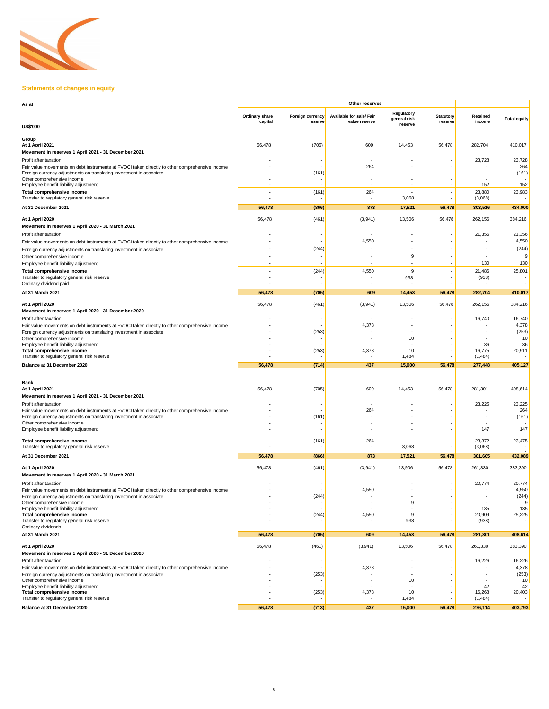

# **Statements of changes in equity**

| As at                                                                                                                                                                                               | Other reserves            |                             |                                           |                                       |                             |                          |                          |
|-----------------------------------------------------------------------------------------------------------------------------------------------------------------------------------------------------|---------------------------|-----------------------------|-------------------------------------------|---------------------------------------|-----------------------------|--------------------------|--------------------------|
|                                                                                                                                                                                                     | Ordinary share<br>capital | Foreign currency<br>reserve | Available for sale/ Fair<br>value reserve | Regulatory<br>general risk<br>reserve | <b>Statutory</b><br>reserve | Retained<br>income       | <b>Total equity</b>      |
| <b>US\$'000</b>                                                                                                                                                                                     |                           |                             |                                           |                                       |                             |                          |                          |
| Group<br>At 1 April 2021<br>Movement in reserves 1 April 2021 - 31 December 2021                                                                                                                    | 56,478                    | (705)                       | 609                                       | 14,453                                | 56,478                      | 282,704                  | 410,017                  |
| Profit after taxation<br>Fair value movements on debt instruments at FVOCI taken directly to other comprehensive income<br>Foreign currency adjustments on translating investment in associate      |                           | (161)                       | 264                                       |                                       |                             | 23,728                   | 23,728<br>264<br>(161)   |
| Other comprehensive income<br>Employee benefit liability adjustment                                                                                                                                 |                           |                             |                                           |                                       |                             | 152                      | 152                      |
| Total comprehensive income<br>Transfer to regulatory general risk reserve                                                                                                                           |                           | (161)                       | 264                                       | 3,068                                 |                             | 23,880<br>(3,068)        | 23,983                   |
| At 31 December 2021                                                                                                                                                                                 | 56,478                    | (866)                       | 873                                       | 17,521                                | 56,478                      | 303,516                  | 434,000                  |
| At 1 April 2020<br>Movement in reserves 1 April 2020 - 31 March 2021                                                                                                                                | 56,478                    | (461)                       | (3,941)                                   | 13,506                                | 56,478                      | 262,156                  | 384,216                  |
| Profit after taxation<br>Fair value movements on debt instruments at FVOCI taken directly to other comprehensive income                                                                             |                           |                             | 4,550                                     |                                       |                             | 21,356                   | 21,356<br>4,550          |
| Foreign currency adjustments on translating investment in associate<br>Other comprehensive income                                                                                                   |                           | (244)                       |                                           | 9                                     |                             |                          | (244)<br>9               |
| Employee benefit liability adjustment                                                                                                                                                               |                           |                             |                                           |                                       |                             | 130                      | 130                      |
| Total comprehensive income<br>Transfer to regulatory general risk reserve<br>Ordinary dividend paid                                                                                                 |                           | (244)                       | 4,550                                     | 9<br>938                              |                             | 21,486<br>(938)          | 25,801                   |
| At 31 March 2021                                                                                                                                                                                    | 56,478                    | (705)                       | 609                                       | 14,453                                | 56,478                      | 282,704                  | 410,017                  |
| At 1 April 2020<br>Movement in reserves 1 April 2020 - 31 December 2020                                                                                                                             | 56,478                    | (461)                       | (3,941)                                   | 13,506                                | 56,478                      | 262,156                  | 384,216                  |
| Profit after taxation<br>Fair value movements on debt instruments at FVOCI taken directly to other comprehensive income                                                                             |                           |                             | 4,378                                     |                                       |                             | 16,740                   | 16,740<br>4,378          |
| Foreign currency adjustments on translating investment in associate<br>Other comprehensive income<br>Employee benefit liability adjustment                                                          |                           | (253)                       |                                           | 10                                    |                             | 36                       | (253)<br>10<br>36        |
| Total comprehensive income<br>Transfer to regulatory general risk reserve                                                                                                                           |                           | (253)                       | 4,378                                     | 10<br>1,484                           |                             | 16,775<br>(1, 484)       | 20,911                   |
| Balance at 31 December 2020                                                                                                                                                                         | 56,478                    | (714)                       | 437                                       | 15,000                                | 56,478                      | 277,448                  | 405,127                  |
|                                                                                                                                                                                                     |                           |                             |                                           |                                       |                             |                          |                          |
| Bank<br>At 1 April 2021<br>Movement in reserves 1 April 2021 - 31 December 2021                                                                                                                     | 56,478                    | (705)                       | 609                                       | 14,453                                | 56,478                      | 281,301                  | 408,614                  |
| Profit after taxation                                                                                                                                                                               |                           |                             |                                           |                                       |                             | 23,225                   | 23,225<br>264            |
| Fair value movements on debt instruments at FVOCI taken directly to other comprehensive income<br>Foreign currency adjustments on translating investment in associate<br>Other comprehensive income |                           | (161)                       | 264                                       |                                       |                             |                          | (161)                    |
| Employee benefit liability adjustment                                                                                                                                                               |                           |                             |                                           |                                       |                             | 147                      | 147                      |
| Total comprehensive income<br>Transfer to regulatory general risk reserve                                                                                                                           |                           | (161)                       | 264                                       | 3,068                                 |                             | 23,372<br>(3,068)        | 23,475                   |
| At 31 December 2021                                                                                                                                                                                 | 56,478                    | (866)                       | 873                                       | 17,521                                | 56,478                      | 301,605                  | 432,089                  |
| At 1 April 2020<br>Movement in reserves 1 April 2020 - 31 March 2021                                                                                                                                | 56,478                    | (461)                       | (3,941)                                   | 13,506                                | 56,478                      | 261,330                  | 383,390                  |
| Profit after taxation<br>Fair value movements on debt instruments at FVOCI taken directly to other comprehensive income                                                                             |                           |                             | 4,550                                     |                                       |                             | 20,774                   | 20,774<br>4,550          |
| Foreign currency adjustments on translating investment in associate<br>Other comprehensive income                                                                                                   |                           | (244)<br>÷,                 |                                           | 9                                     |                             | $\overline{\phantom{a}}$ | (244)<br>9               |
| Employee benefit liability adjustment<br>Total comprehensive income<br>Transfer to regulatory general risk reserve                                                                                  |                           | (244)                       | 4,550                                     | 9<br>938                              |                             | 135<br>20,909<br>(938)   | 135<br>25,225            |
| Ordinary dividends<br>At 31 March 2021                                                                                                                                                              |                           |                             |                                           |                                       |                             |                          | $\overline{\phantom{a}}$ |
|                                                                                                                                                                                                     | 56,478                    | (705)                       | 609                                       | 14,453                                | 56,478                      | 281,301                  | 408,614                  |
| At 1 April 2020<br>Movement in reserves 1 April 2020 - 31 December 2020<br>Profit after taxation                                                                                                    | 56,478                    | (461)                       | (3,941)                                   | 13,506                                | 56,478                      | 261,330<br>16,226        | 383,390<br>16,226        |
| Fair value movements on debt instruments at FVOCI taken directly to other comprehensive income                                                                                                      |                           |                             | 4,378                                     |                                       |                             |                          | 4,378                    |
| Foreign currency adjustments on translating investment in associate<br>Other comprehensive income                                                                                                   |                           | (253)                       |                                           | 10                                    |                             |                          | (253)<br>10              |
| Employee benefit liability adjustment<br>Total comprehensive income<br>Transfer to regulatory general risk reserve                                                                                  |                           | (253)                       | 4,378                                     | 10<br>1,484                           |                             | 42<br>16,268<br>(1, 484) | 42<br>20,403             |
| Balance at 31 December 2020                                                                                                                                                                         | 56,478                    | (713)                       | 437                                       | 15,000                                | 56,478                      | 276,114                  | 403,793                  |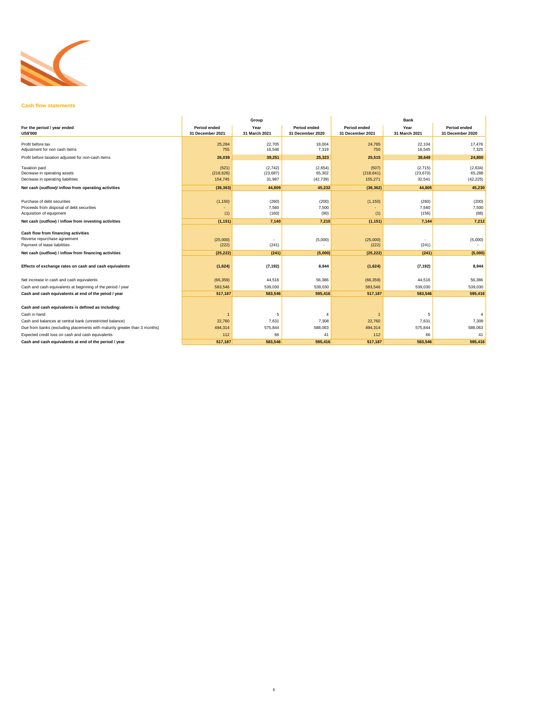

### **Cash flow statements**

|                                                                                                      |                                         | Group                          |                                         | <b>Bank</b>                      |                                |                                         |  |
|------------------------------------------------------------------------------------------------------|-----------------------------------------|--------------------------------|-----------------------------------------|----------------------------------|--------------------------------|-----------------------------------------|--|
| For the period / year ended<br><b>US\$'000</b>                                                       | <b>Period ended</b><br>31 December 2021 | Year<br>31 March 2021          | <b>Period ended</b><br>31 December 2020 | Period ended<br>31 December 2021 | Year<br>31 March 2021          | <b>Period ended</b><br>31 December 2020 |  |
| Profit before tax<br>Adjustment for non cash items                                                   | 25,284<br>755                           | 22,705<br>16,546               | 18,004<br>7,319                         | 24,765<br>750                    | 22,104<br>16,545               | 17,476<br>7,325                         |  |
| Profit before taxation adjusted for non-cash items                                                   | 26,039                                  | 39,251                         | 25,323                                  | 25,515                           | 38.649                         | 24,800                                  |  |
| <b>Taxation paid</b><br>Decrease in operating assets<br>Decrease in operating liabilities            | (521)<br>(218, 626)<br>154,745          | (2,742)<br>(23, 687)<br>31,987 | (2,654)<br>65,302<br>(42, 739)          | (507)<br>(218, 641)<br>155,271   | (2,715)<br>(23, 670)<br>32,541 | (2,634)<br>65,288<br>(42, 225)          |  |
| Net cash (outflow)/ inflow from operating activities                                                 | (38, 363)                               | 44.809                         | 45.232                                  | (38, 362)                        | 44.805                         | 45.230                                  |  |
| Purchase of debt securities<br>Proceeds from disposal of debt securities<br>Acquisition of equipment | (1, 150)<br>(1)                         | (260)<br>7,560<br>(160)        | (200)<br>7,500<br>(90)                  | (1, 150)<br>(1)                  | (260)<br>7,560<br>(156)        | (200)<br>7,500<br>(88)                  |  |
| Net cash (outflow) / inflow from investing activities                                                | (1, 151)                                | 7,140                          | 7,210                                   | (1, 151)                         | 7,144                          | 7,212                                   |  |
| Cash flow from financing activities<br>Reverse repurchase agreement<br>Payment of lease liabilities  | (25,000)<br>(222)                       | (241)                          | (5,000)                                 | (25,000)<br>(222)                | (241)                          | (5,000)                                 |  |
| Net cash (outflow) / inflow from financing activities                                                | (25, 222)                               | (241)                          | (5,000)                                 | (25, 222)                        | (241)                          | (5,000)                                 |  |
| Effects of exchange rates on cash and cash equivalents                                               | (1,624)                                 | (7, 192)                       | 8,944                                   | (1,624)                          | (7, 192)                       | 8,944                                   |  |
| Net increase in cash and cash equivalents                                                            | (66, 359)                               | 44,516                         | 56,386                                  | (66, 359)                        | 44,516                         | 56,386                                  |  |
| Cash and cash equivalents at beginning of the period / year                                          | 583,546                                 | 539,030                        | 539,030                                 | 583,546                          | 539,030                        | 539,030                                 |  |
| Cash and cash equivalents at end of the peiod / year                                                 | 517,187                                 | 583,546                        | 595,416                                 | 517,187                          | 583,546                        | 595.416                                 |  |
| Cash and cash equivalents is defined as including:                                                   |                                         |                                |                                         |                                  |                                |                                         |  |
| Cash in hand                                                                                         |                                         | 5                              | 4                                       |                                  | 5                              | 4                                       |  |
| Cash and balances at central bank (unrestricted balance)                                             | 22,760                                  | 7,631                          | 7,308                                   | 22,760                           | 7,631                          | 7,308                                   |  |
| Due from banks (excluding placements with maturity greater than 3 months)                            | 494,314                                 | 575,844                        | 588,063                                 | 494,314                          | 575,844                        | 588,063                                 |  |
| Expected credit loss on cash and cash equivalents                                                    | 112                                     | 66                             | 41                                      | 112                              | 66                             | 41                                      |  |
| Cash and cash equivalents at end of the period / year                                                | 517,187                                 | 583.546                        | 595.416                                 | 517.187                          | 583.546                        | 595.416                                 |  |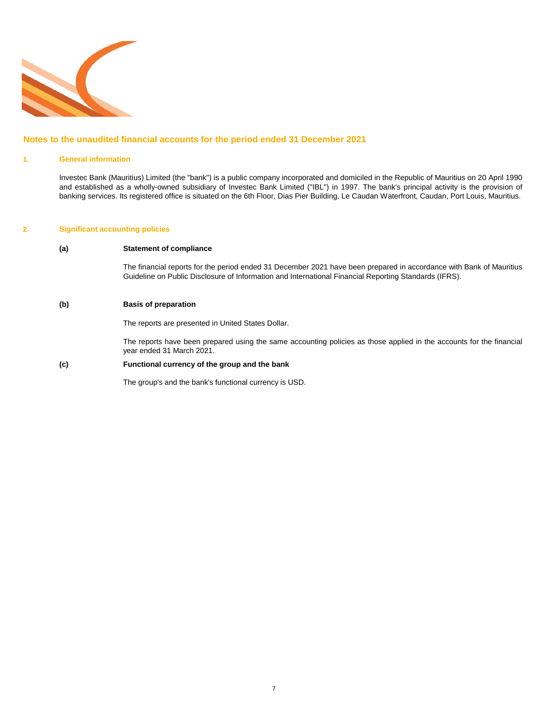

# **Notes to the unaudited financial accounts for the period ended 31 December 2021**

### **1. General information**

Investec Bank (Mauritius) Limited (the "bank") is a public company incorporated and domiciled in the Republic of Mauritius on 20 April 1990 and established as a wholly-owned subsidiary of Investec Bank Limited ("IBL") in 1997. The bank's principal activity is the provision of banking services. Its registered office is situated on the 6th Floor, Dias Pier Building, Le Caudan Waterfront, Caudan, Port Louis, Mauritius.

### **2. Significant accounting policies**

### **(a) Statement of compliance**

The financial reports for the period ended 31 December 2021 have been prepared in accordance with Bank of Mauritius Guideline on Public Disclosure of Information and International Financial Reporting Standards (IFRS).

### **(b) Basis of preparation**

The reports are presented in United States Dollar.

The reports have been prepared using the same accounting policies as those applied in the accounts for the financial year ended 31 March 2021.

## **(c) Functional currency of the group and the bank**

The group's and the bank's functional currency is USD.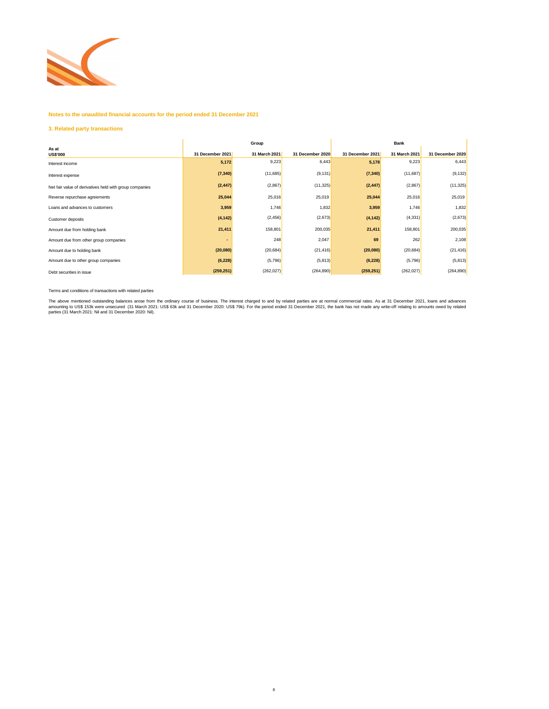

## **Notes to the unaudited financial accounts for the period ended 31 December 2021**

### **3. Related party transactions**

|                                                         |                  | Group         |                  | <b>Bank</b>      |               |                  |  |
|---------------------------------------------------------|------------------|---------------|------------------|------------------|---------------|------------------|--|
| As at<br><b>US\$'000</b>                                | 31 December 2021 | 31 March 2021 | 31 December 2020 | 31 December 2021 | 31 March 2021 | 31 December 2020 |  |
| Interest income                                         | 5,172            | 9,223         | 6,443            | 5,178            | 9,223         | 6,443            |  |
| Interest expense                                        | (7, 340)         | (11,685)      | (9, 131)         | (7, 340)         | (11,687)      | (9, 132)         |  |
| Net fair value of derivatives held with group companies | (2, 447)         | (2,867)       | (11, 325)        | (2, 447)         | (2,867)       | (11, 325)        |  |
| Reverse repurchase agreements                           | 25,044           | 25,016        | 25,019           | 25,044           | 25,016        | 25,019           |  |
| Loans and advances to customers                         | 3,959            | 1,746         | 1,832            | 3,959            | 1,746         | 1,832            |  |
| Customer deposits                                       | (4, 142)         | (2, 456)      | (2,673)          | (4, 142)         | (4, 331)      | (2,673)          |  |
| Amount due from holding bank                            | 21,411           | 158,801       | 200,035          | 21,411           | 158,801       | 200,035          |  |
| Amount due from other group companies                   |                  | 248           | 2,047            | 69               | 262           | 2,108            |  |
| Amount due to holding bank                              | (20,080)         | (20, 684)     | (21, 416)        | (20,080)         | (20, 684)     | (21, 416)        |  |
| Amount due to other group companies                     | (6, 228)         | (5,796)       | (5, 813)         | (6, 228)         | (5,796)       | (5,813)          |  |
| Debt securities in issue                                | (259, 251)       | (262, 027)    | (264, 890)       | (259, 251)       | (262, 027)    | (264, 890)       |  |

Terms and conditions of transactions with related parties

The above mentioned outstanding balances arose from the ordinary course of business. The interest charged to and by related parties are at normal commercial rates. As at 31 December 2021, loans and advances<br>amounting to US

8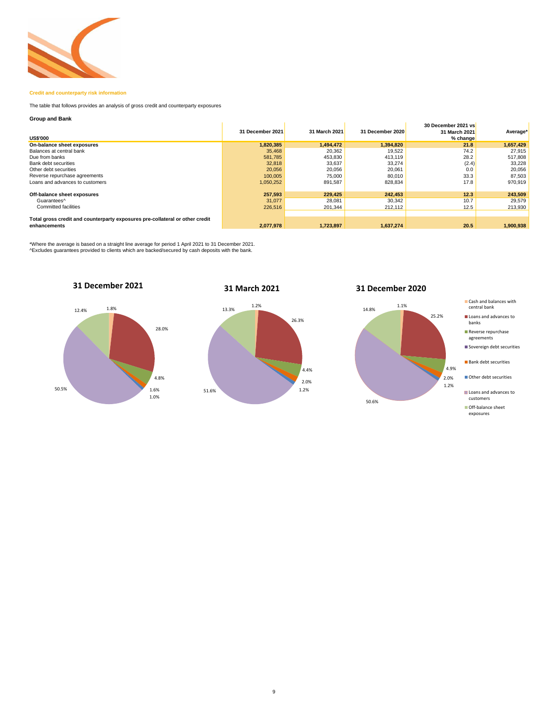

## **Credit and counterparty risk information**

The table that follows provides an analysis of gross credit and counterparty exposures

### **Group and Bank**

| <b>US\$'000</b>                                                              | 31 December 2021 | 31 March 2021 | 31 December 2020 | 30 December 2021 vs<br>31 March 2021<br>% change | Average*  |
|------------------------------------------------------------------------------|------------------|---------------|------------------|--------------------------------------------------|-----------|
| On-balance sheet exposures                                                   | 1,820,385        | 1.494.472     | 1.394.820        | 21.8                                             | 1,657,429 |
| Balances at central bank                                                     | 35.468           | 20.362        | 19.522           | 74.2                                             | 27.915    |
| Due from banks                                                               | 581,785          | 453,830       | 413,119          | 28.2                                             | 517,808   |
| Bank debt securities                                                         | 32,818           | 33,637        | 33,274           | (2.4)                                            | 33,228    |
| Other debt securities                                                        | 20,056           | 20.056        | 20,061           | 0.0                                              | 20,056    |
| Reverse repurchase agreements                                                | 100,005          | 75,000        | 80,010           | 33.3                                             | 87,503    |
| Loans and advances to customers                                              | 1,050,252        | 891,587       | 828,834          | 17.8                                             | 970,919   |
|                                                                              |                  |               |                  |                                                  |           |
| Off-balance sheet exposures                                                  | 257.593          | 229,425       | 242.453          | 12.3                                             | 243,509   |
| Guarantees <sup>^</sup>                                                      | 31,077           | 28,081        | 30,342           | 10.7                                             | 29,579    |
| <b>Committed facilities</b>                                                  | 226,516          | 201.344       | 212.112          | 12.5                                             | 213,930   |
|                                                                              |                  |               |                  |                                                  |           |
| Total gross credit and counterparty exposures pre-collateral or other credit |                  |               |                  |                                                  |           |
| enhancements                                                                 | 2,077,978        | 1,723,897     | 1,637,274        | 20.5                                             | 1,900,938 |

\*Where the average is based on a straight line average for period 1 April 2021 to 31 December 2021. ^Excludes guarantees provided to clients which are backed/secured by cash deposits with the bank.



# **31 March 2021**



# **31 December 2020**



#### Cash and balances with central bank

- Loans and advances to banks
- Reverse repurchase agreements
- Sovereign debt securities

**Bank debt securities** 

- Other debt securities
- Loans and advances to customers
- Off-balance sheet exposures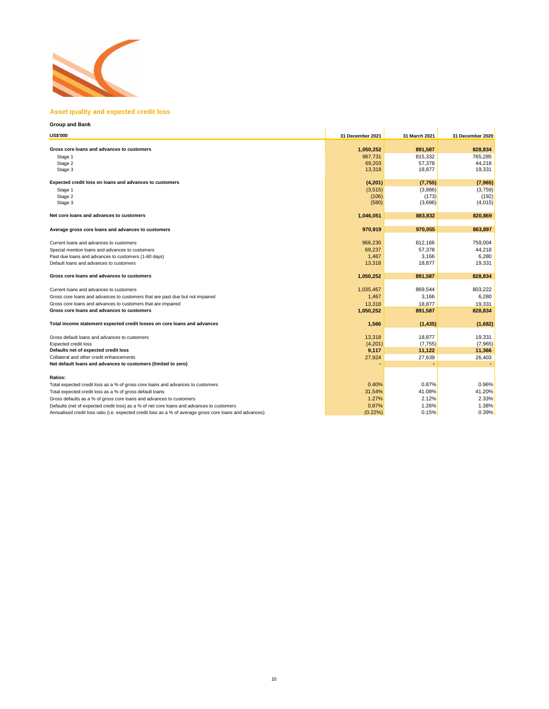

## **Asset quality and expected credit loss**

| <b>Group and Bank</b>                                                                                    |                  |               |                  |
|----------------------------------------------------------------------------------------------------------|------------------|---------------|------------------|
| <b>US\$'000</b>                                                                                          | 31 December 2021 | 31 March 2021 | 31 December 2020 |
| Gross core loans and advances to customers                                                               | 1,050,252        | 891.587       | 828.834          |
| Stage 1                                                                                                  | 967,731          | 815,332       | 765,285          |
| Stage 2                                                                                                  | 69,203           | 57,378        | 44,218           |
| Stage 3                                                                                                  | 13,318           | 18,877        | 19,331           |
| Expected credit loss on loans and advances to customers                                                  | (4,201)          | (7, 755)      | (7,965)          |
|                                                                                                          | (3, 515)         | (3,886)       | (3,759)          |
| Stage 1<br>Stage 2                                                                                       | (106)            | (173)         | (192)            |
| Stage 3                                                                                                  | (580)            | (3,696)       | (4,015)          |
|                                                                                                          |                  |               |                  |
| Net core loans and advances to customers                                                                 | 1,046,051        | 883,832       | 820,869          |
| Average gross core loans and advances to customers                                                       | 970,919          | 970,055       | 863,897          |
| Current loans and advances to customers                                                                  | 966,230          | 812,166       | 759,004          |
| Special mention loans and advances to customers                                                          | 69,237           | 57,378        | 44,218           |
| Past due loans and advances to customers (1-60 days)                                                     | 1,467            | 3,166         | 6,280            |
| Default loans and advances to customers                                                                  | 13,318           | 18,877        | 19,331           |
| Gross core loans and advances to customers                                                               | 1,050,252        | 891,587       | 828,834          |
| Current loans and advances to customers                                                                  | 1,035,467        | 869,544       | 803,222          |
| Gross core loans and advances to customers that are past due but not impaired                            | 1,467            | 3,166         | 6,280            |
| Gross core loans and advances to customers that are impaired                                             | 13.318           | 18.877        | 19,331           |
| Gross core loans and advances to customers                                                               | 1,050,252        | 891,587       | 828,834          |
| Total income statement expected credit losses on core loans and advances                                 | 1,566            | (1, 435)      | (1,682)          |
| Gross default loans and advances to customers                                                            | 13,318           | 18,877        | 19,331           |
| Expected credit loss                                                                                     | (4,201)          | (7, 755)      | (7, 965)         |
| Defaults net of expected credit loss                                                                     | 9,117            | 11,122        | 11,366           |
| Collateral and other credit enhancements                                                                 | 27,924           | 27,639        | 26,403           |
| Net default loans and advances to customers (limited to zero)                                            |                  |               |                  |
| Ratios:                                                                                                  |                  |               |                  |
| Total expected credit loss as a % of gross core loans and advances to customers                          | 0.40%            | 0.87%         | 0.96%            |
| Total expected credit loss as a % of gross default loans                                                 | 31.54%           | 41.08%        | 41.20%           |
| Gross defaults as a % of gross core loans and advances to customers                                      | 1.27%            | 2.12%         | 2.33%            |
| Defaults (net of expected credit loss) as a % of net core loans and advances to customers                | 0.87%            | 1.26%         | 1.38%            |
| Annualised credit loss ratio (i.e. expected credit loss as a % of average gross core loans and advances) | $(0.22\%)$       | 0.15%         | 0.39%            |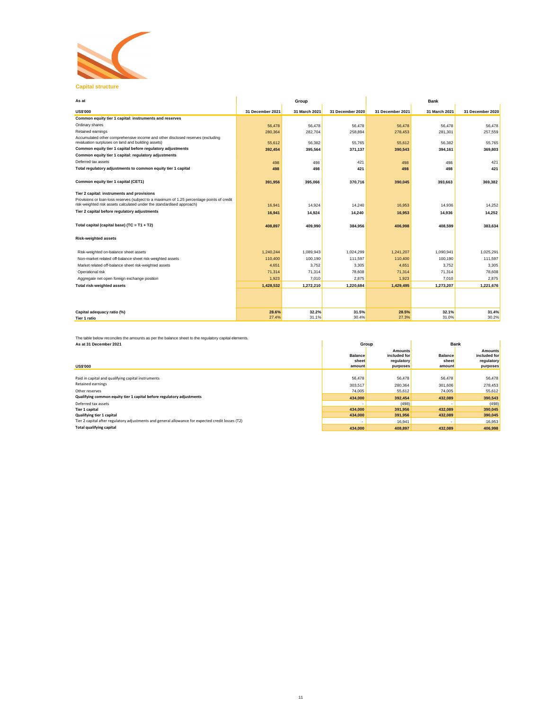

| n a<br>٠. | ٠ | . |  |
|-----------|---|---|--|
|           |   |   |  |
|           |   |   |  |
|           |   |   |  |
|           |   |   |  |

| As at                                                                                                                                                               |                  | Group         |                  | Bank             |               |                  |  |
|---------------------------------------------------------------------------------------------------------------------------------------------------------------------|------------------|---------------|------------------|------------------|---------------|------------------|--|
| <b>US\$'000</b>                                                                                                                                                     | 31 December 2021 | 31 March 2021 | 31 December 2020 | 31 December 2021 | 31 March 2021 | 31 December 2020 |  |
| Common equity tier 1 capital: instruments and reserves                                                                                                              |                  |               |                  |                  |               |                  |  |
| Ordinary shares                                                                                                                                                     | 56,478           | 56,478        | 56,478           | 56,478           | 56,478        | 56,478           |  |
| Retained earnings                                                                                                                                                   | 280,364          | 282,704       | 258,894          | 278,453          | 281,301       | 257,559          |  |
| Accumulated other comprehensive income and other disclosed reserves (excluding<br>revaluation surpluses on land and building assets)                                | 55,612           | 56.382        | 55.765           | 55.612           | 56,382        | 55.765           |  |
| Common equity tier 1 capital before regulatory adjustments                                                                                                          | 392.454          | 395.564       | 371.137          | 390.543          | 394.161       | 369.803          |  |
| Common equity tier 1 capital: regulatory adjustments                                                                                                                |                  |               |                  |                  |               |                  |  |
| Deferred tax assets                                                                                                                                                 | 498              | 498           | 421              | 498              | 498           | 421              |  |
| Total regulatory adjustments to common equity tier 1 capital                                                                                                        | 498              | 498           | 421              | 498              | 498           | 421              |  |
|                                                                                                                                                                     |                  |               |                  |                  |               |                  |  |
| Common equity tier 1 capital (CET1)                                                                                                                                 | 391,956          | 395.066       | 370.716          | 390.045          | 393.663       | 369.382          |  |
|                                                                                                                                                                     |                  |               |                  |                  |               |                  |  |
| Tier 2 capital: instruments and provisions                                                                                                                          |                  |               |                  |                  |               |                  |  |
| Provisions or loan-loss reserves (subject to a maximum of 1.25 percentage points of credit<br>risk-weighted risk assets calculated under the standardised approach) | 16,941           | 14,924        | 14,240           | 16,953           | 14,936        | 14,252           |  |
| Tier 2 capital before regulatory adjustments                                                                                                                        | 16.941           | 14.924        | 14,240           | 16.953           | 14,936        | 14.252           |  |
|                                                                                                                                                                     |                  |               |                  |                  |               |                  |  |
| Total capital (capital base) (TC = $T1 + T2$ )                                                                                                                      | 408,897          | 409.990       | 384,956          | 406.998          | 408.599       | 383.634          |  |
|                                                                                                                                                                     |                  |               |                  |                  |               |                  |  |
| <b>Risk-weighted assets</b>                                                                                                                                         |                  |               |                  |                  |               |                  |  |
|                                                                                                                                                                     |                  |               |                  |                  |               |                  |  |
| Risk-weighted on-balance sheet assets                                                                                                                               | 1.240.244        | 1,089,943     | 1.024.299        | 1,241,207        | 1.090.941     | 1,025,291        |  |
| Non-market related off-balance sheet risk-weighted assets                                                                                                           | 110,400          | 100,190       | 111.597          | 110,400          | 100,190       | 111,597          |  |
| Market related off-balance sheet risk-weighted assets                                                                                                               | 4.651            | 3.752         | 3.305            | 4.651            | 3.752         | 3.305            |  |
| Operational risk                                                                                                                                                    | 71,314           | 71,314        | 78,608           | 71,314           | 71,314        | 78,608           |  |
| Aggregate net open foreign exchange position                                                                                                                        | 1,923            | 7.010         | 2.875            | 1.923            | 7.010         | 2.875            |  |
| <b>Total risk-weighted assets</b>                                                                                                                                   | 1,428,532        | 1,272,210     | 1,220,684        | 1,429,495        | 1,273,207     | 1,221,676        |  |
|                                                                                                                                                                     |                  |               |                  |                  |               |                  |  |
|                                                                                                                                                                     |                  |               |                  |                  |               |                  |  |
|                                                                                                                                                                     |                  |               |                  |                  |               |                  |  |
| Capital adequacy ratio (%)                                                                                                                                          | 28.6%            | 32.2%         | 31.5%            | 28.5%            | 32.1%         | 31.4%            |  |
| Tier 1 ratio                                                                                                                                                        | 27.4%            | 31.1%         | 30.4%            | 27.3%            | 31.0%         | 30.2%            |  |

The table below reconciles the amounts as per the balance sheet to the regulatory capital elements. **As at 31 December 2021**

| As at 31 December 2021                                                                            | Group          |                                | <b>Bank</b>    |                                |
|---------------------------------------------------------------------------------------------------|----------------|--------------------------------|----------------|--------------------------------|
|                                                                                                   | <b>Balance</b> | <b>Amounts</b><br>included for | <b>Balance</b> | <b>Amounts</b><br>included for |
|                                                                                                   | sheet          | regulatory                     | sheet          | regulatory                     |
| <b>US\$'000</b>                                                                                   | amount         | purposes                       | amount         | purposes                       |
|                                                                                                   |                |                                |                |                                |
| Paid in capital and qualifying capital instruments                                                | 56,478         | 56,478                         | 56,478         | 56,478                         |
| <b>Retained earnings</b>                                                                          | 303.517        | 280.364                        | 301,606        | 278,453                        |
| Other reserves                                                                                    | 74,005         | 55,612                         | 74,005         | 55,612                         |
| Qualifying common equity tier 1 capital before regulatory adjustments                             | 434,000        | 392.454                        | 432.089        | 390.543                        |
| Deferred tax assets                                                                               |                | (498)                          |                | (498)                          |
| Tier 1 capital                                                                                    | 434,000        | 391.956                        | 432,089        | 390,045                        |
| Qualifying tier 1 capital                                                                         | 434,000        | 391.956                        | 432,089        | 390,045                        |
| Tier 2 capital after regulatory adjustments and general allowance for expected credit losses (T2) |                | 16,941                         | ٠              | 16,953                         |
| <b>Total qualifying capital</b>                                                                   | 434,000        | 408.897                        | 432,089        | 406.998                        |
|                                                                                                   |                |                                |                |                                |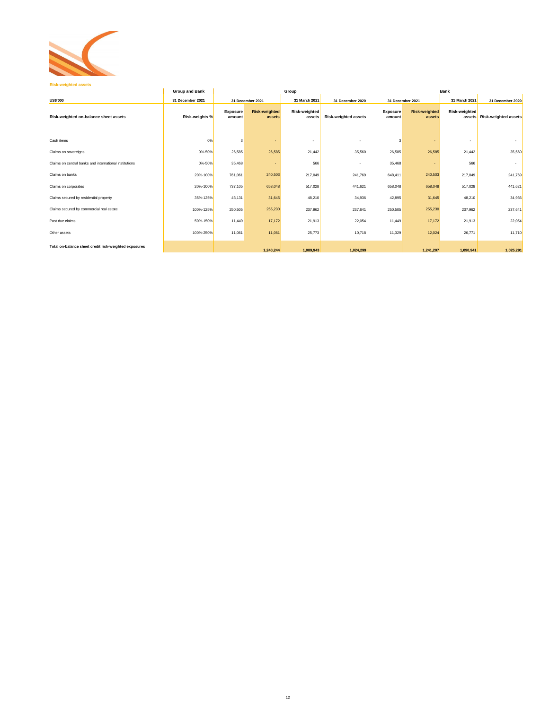

|                                                        | <b>Group and Bank</b> | Group              |                                |                          |                             |                           | <b>Bank</b>                    |                         |                             |  |
|--------------------------------------------------------|-----------------------|--------------------|--------------------------------|--------------------------|-----------------------------|---------------------------|--------------------------------|-------------------------|-----------------------------|--|
| <b>US\$'000</b>                                        | 31 December 2021      |                    | 31 December 2021               | 31 March 2021            | 31 December 2020            |                           | 31 December 2021               | 31 March 2021           | 31 December 2020            |  |
| Risk-weighted on-balance sheet assets                  | Risk-weights %        | Exposure<br>amount | <b>Risk-weighted</b><br>assets | Risk-weighted<br>assets  | <b>Risk-weighted assets</b> | <b>Exposure</b><br>amount | <b>Risk-weighted</b><br>assets | Risk-weighted<br>assets | <b>Risk-weighted assets</b> |  |
| Cash items                                             | 0%                    | 3                  |                                | $\overline{\phantom{a}}$ |                             |                           |                                | ٠                       |                             |  |
| Claims on sovereigns                                   | 0%-50%                | 26,585             | 26,585                         | 21,442                   | 35,560                      | 26,585                    | 26,585                         | 21,442                  | 35,560                      |  |
| Claims on central banks and international institutions | 0%-50%                | 35,468             |                                | 566                      |                             | 35,468                    |                                | 566                     | $\sim$                      |  |
| Claims on banks                                        | 20%-100%              | 761,061            | 240,503                        | 217,049                  | 241,769                     | 648,411                   | 240,503                        | 217,049                 | 241,769                     |  |
| Claims on corporates                                   | 20%-100%              | 737,105            | 658,048                        | 517,028                  | 441.621                     | 658,048                   | 658,048                        | 517,028                 | 441,621                     |  |
| Claims secured by residential property                 | 35%-125%              | 43,131             | 31,645                         | 48,210                   | 34,936                      | 42,895                    | 31,645                         | 48,210                  | 34,936                      |  |
| Claims secured by commercial real estate               | 100%-125%             | 250,505            | 255,230                        | 237,962                  | 237,641                     | 250,505                   | 255,230                        | 237,962                 | 237,641                     |  |
| Past due claims                                        | 50%-150%              | 11,449             | 17,172                         | 21,913                   | 22,054                      | 11,449                    | 17,172                         | 21,913                  | 22,054                      |  |
| Other assets                                           | 100%-250%             | 11,061             | 11,061                         | 25,773                   | 10,718                      | 11,329                    | 12,024                         | 26,771                  | 11,710                      |  |
| Total on-balance sheet credit risk-weighted exposures  |                       |                    | 1,240,244                      | 1.089.943                | 1.024.299                   |                           | 1.241.207                      | 1.090.941               | 1,025,291                   |  |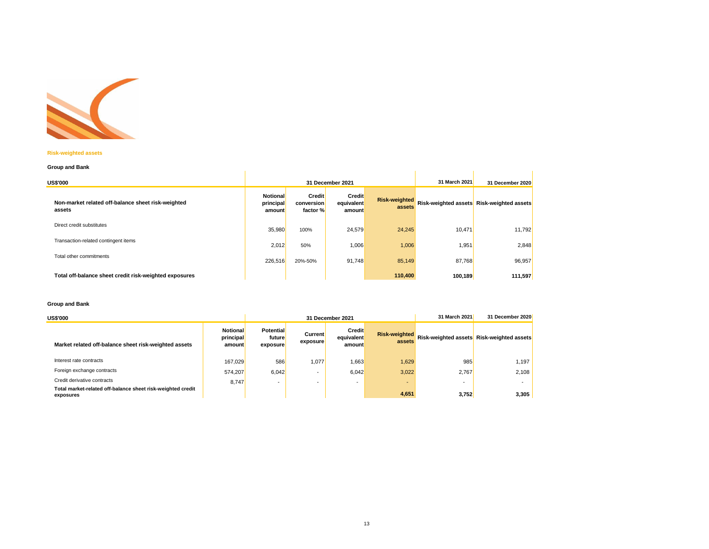

### **Risk-weighted assets**

### **Group and Bank**

| Group and Bank                                               |                                        |                                         |                                       |                                |         |                                           |  |  |  |  |
|--------------------------------------------------------------|----------------------------------------|-----------------------------------------|---------------------------------------|--------------------------------|---------|-------------------------------------------|--|--|--|--|
| <b>US\$'000</b>                                              |                                        | 31 December 2021                        | 31 March 2021                         | 31 December 2020               |         |                                           |  |  |  |  |
| Non-market related off-balance sheet risk-weighted<br>assets | <b>Notional</b><br>principal<br>amount | <b>Credit</b><br>conversion<br>factor % | <b>Credit</b><br>equivalent<br>amount | <b>Risk-weighted</b><br>assets |         | Risk-weighted assets Risk-weighted assets |  |  |  |  |
| Direct credit substitutes                                    | 35,980                                 | 100%                                    | 24,579                                | 24,245                         | 10,471  | 11,792                                    |  |  |  |  |
| Transaction-related contingent items                         | 2,012                                  | 50%                                     | 1,006                                 | 1,006                          | 1,951   | 2,848                                     |  |  |  |  |
| Total other commitments                                      | 226,516                                | 20%-50%                                 | 91,748                                | 85,149                         | 87,768  | 96,957                                    |  |  |  |  |
| Total off-balance sheet credit risk-weighted exposures       |                                        |                                         |                                       | 110,400                        | 100,189 | 111,597                                   |  |  |  |  |

### **Group and Bank**

| <b>US\$'000</b>                                                          |                                        | 31 December 2021                       |                            |                                       | 31 March 2021                  | 31 December 2020         |                                           |
|--------------------------------------------------------------------------|----------------------------------------|----------------------------------------|----------------------------|---------------------------------------|--------------------------------|--------------------------|-------------------------------------------|
| Market related off-balance sheet risk-weighted assets                    | <b>Notional</b><br>principal<br>amount | <b>Potential</b><br>future<br>exposure | <b>Current</b><br>exposure | <b>Credit</b><br>equivalent<br>amount | <b>Risk-weighted</b><br>assets |                          | Risk-weighted assets Risk-weighted assets |
| Interest rate contracts                                                  | 167.029                                | 586                                    | 1,077                      | 1,663                                 | 1,629                          | 985                      | 1.197                                     |
| Foreign exchange contracts                                               | 574.207                                | 6.042                                  |                            | 6.042                                 | 3,022                          | 2.767                    | 2.108                                     |
| Credit derivative contracts                                              | 8.747                                  | $\overline{\phantom{0}}$               |                            |                                       |                                | $\overline{\phantom{a}}$ |                                           |
| Total market-related off-balance sheet risk-weighted credit<br>exposures |                                        |                                        |                            |                                       | 4,651                          | 3,752                    | 3,305                                     |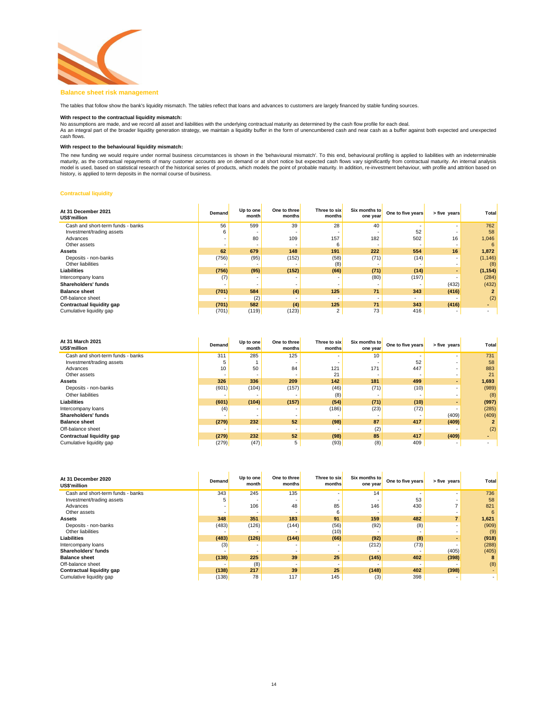

### **Balance sheet risk management**

The tables that follow show the bank's liquidity mismatch. The tables reflect that loans and advances to customers are largely financed by stable funding sources.

## **With respect to the contractual liquidity mismatch:**

No assumptions are made, and we record all asset and liabilities with the underlying contractual maturity as determined by the cash flow profile for each deal.<br>As an integral part of the broader liquidity generation strate cash flows.

### **With respect to the behavioural liquidity mismatch:**

The new funding we would require under normal business circumstances is shown in the 'behavioural mismatch'. To this end, behavioural profiling is applied to liabilities with an indeterminable<br>maturity, as the contractual model is used, based on statistical research of the historical series of products, which models the point of probable maturity. In addition, re-investment behaviour, with profile and attrition based on history, is applied to term deposits in the normal course of business.

### **Contractual liquidity**

| At 31 December 2021<br>US\$'million | <b>Demand</b> | Up to one<br>month | One to three<br>months   | Three to six<br>months | Six months to<br>one year | One to five years | > five years             | Total    |
|-------------------------------------|---------------|--------------------|--------------------------|------------------------|---------------------------|-------------------|--------------------------|----------|
| Cash and short-term funds - banks   | 56            | 599                | 39                       | 28                     | 40                        |                   |                          | 762      |
| Investment/trading assets           | 6             |                    |                          |                        |                           | 52                |                          | 58       |
| Advances                            |               | 80                 | 109                      | 157                    | 182                       | 502               | 16                       | 1,046    |
| Other assets                        |               |                    |                          |                        |                           |                   |                          | 6        |
| Assets                              | 62            | 679                | 148                      | 191                    | 222                       | 554               | 16                       | 1,872    |
| Deposits - non-banks                | (756)         | (95)               | (152)                    | (58)                   | (71)                      | (14)              | $\overline{\phantom{a}}$ | (1, 146) |
| Other liabilities                   |               |                    |                          | (8)                    |                           |                   |                          | (8)      |
| Liabilities                         | (756)         | (95)               | (152)                    | (66)                   | (71)                      | (14)              |                          | (1, 154) |
| Intercompany loans                  | (7)           |                    |                          |                        | (80)                      | (197)             |                          | (284)    |
| Shareholders' funds                 |               |                    | $\overline{\phantom{a}}$ |                        |                           |                   | (432)                    | (432)    |
| <b>Balance sheet</b>                | (701)         | 584                | (4)                      | 125                    | 71                        | 343               | (416)                    |          |
| Off-balance sheet                   |               | (2)                | $\overline{\phantom{a}}$ |                        | $\overline{\phantom{a}}$  |                   |                          | (2)      |
| Contractual liquidity gap           | (701)         | 582                | (4)                      | 125                    | 71                        | 343               | (416)                    |          |
| Cumulative liquidity gap            | (701)         | (119)              | (123)                    | 2                      | 73                        | 416               | $\overline{\phantom{a}}$ |          |

| At 31 March 2021<br>US\$'million  | Demand                   | Up to one<br>month | One to three<br>months   | Three to six<br>months | Six months to<br>one year | One to five years | > five years | Total |
|-----------------------------------|--------------------------|--------------------|--------------------------|------------------------|---------------------------|-------------------|--------------|-------|
| Cash and short-term funds - banks | 311                      | 285                | 125                      |                        | 10                        |                   |              | 731   |
| Investment/trading assets         |                          |                    |                          |                        |                           | 52                |              | 58    |
| Advances                          | 10                       | 50                 | 84                       | 121                    | 171                       | 447               |              | 883   |
| Other assets                      |                          |                    |                          | 21                     | -                         |                   |              | 21    |
| <b>Assets</b>                     | 326                      | 336                | 209                      | 142                    | 181                       | 499               |              | 1,693 |
| Deposits - non-banks              | (601)                    | (104)              | (157)                    | (46)                   | (71)                      | (10)              |              | (989) |
| Other liabilities                 | $\overline{\phantom{a}}$ |                    |                          | (8)                    |                           |                   |              | (8)   |
| <b>Liabilities</b>                | (601)                    | (104)              | (157)                    | (54)                   | (71)                      | (10)              |              | (997) |
| Intercompany loans                | (4)                      |                    |                          | (186)                  | (23)                      | (72)              |              | (285) |
| <b>Shareholders' funds</b>        |                          |                    | $\overline{\phantom{a}}$ |                        |                           |                   | (409)        | (409) |
| <b>Balance sheet</b>              | (279)                    | 232                | 52                       | (98)                   | 87                        | 417               | (409)        |       |
| Off-balance sheet                 |                          |                    | $\overline{\phantom{a}}$ |                        | (2)                       |                   |              | (2)   |
| Contractual liquidity gap         | (279)                    | 232                | 52                       | (98)                   | 85                        | 417               | (409)        |       |
| Cumulative liquidity gap          | (279)                    | (47)               | 5                        | (93)                   | (8)                       | 409               |              |       |

| At 31 December 2020<br>US\$'million | <b>Demand</b> | Up to one<br>month | One to three<br>months   | Three to six<br>months | Six months to<br>one year | One to five years | > five years | Total |
|-------------------------------------|---------------|--------------------|--------------------------|------------------------|---------------------------|-------------------|--------------|-------|
| Cash and short-term funds - banks   | 343           | 245                | 135                      |                        | 14                        |                   |              | 736   |
| Investment/trading assets           | 5             |                    |                          |                        |                           | 53                |              | 58    |
| Advances                            | ۰             | 106                | 48                       | 85                     | 146                       | 430               |              | 821   |
| Other assets                        |               |                    |                          | 6                      |                           |                   |              |       |
| <b>Assets</b>                       | 348           | 351                | 183                      | 91                     | 159                       | 482               |              | 1,621 |
| Deposits - non-banks                | (483)         | (126)              | (144)                    | (56)                   | (92)                      | (8)               |              | (909) |
| Other liabilities                   |               |                    |                          | (10)                   |                           |                   |              | (9)   |
| <b>Liabilities</b>                  | (483)         | (126)              | (144)                    | (66)                   | (92)                      | (8)               |              | (918) |
| Intercompany loans                  | (3)           |                    |                          |                        | (212)                     | (73)              |              | (288) |
| Shareholders' funds                 |               |                    |                          |                        |                           |                   | (405)        | (405) |
| <b>Balance sheet</b>                | (138)         | 225                | 39                       | 25                     | (145)                     | 402               | (398)        |       |
| Off-balance sheet                   |               | (8)                | $\overline{\phantom{a}}$ |                        | -                         |                   |              | (8)   |
| <b>Contractual liquidity gap</b>    | (138)         | 217                | 39                       | 25                     | (148)                     | 402               | (398)        |       |
| Cumulative liquidity gap            | (138)         | 78                 | 117                      | 145                    | (3)                       | 398               |              |       |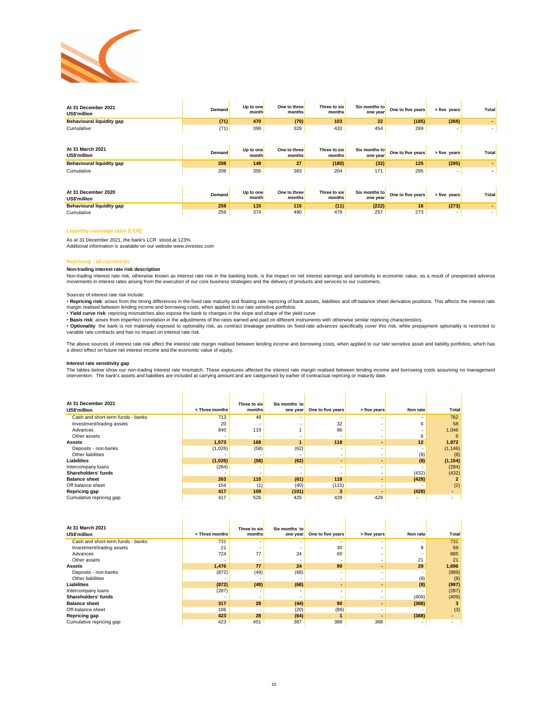

| At 31 December 2021<br>US\$'million | <b>Demand</b> | Up to one<br>month | One to three<br>months | Three to six<br>months | Six months to<br>one year | One to five years | > five years | Total |
|-------------------------------------|---------------|--------------------|------------------------|------------------------|---------------------------|-------------------|--------------|-------|
| Behavioural liquidity gap           | (71)          | 470                | (70)                   | 103                    | 22                        | (185)             | (269)        |       |
| Cumulative                          | (71)          | 399                | 329                    | 432                    | 454                       | 269               |              |       |
| At 31 March 2021<br>US\$'million    | Demand        | Up to one<br>month | One to three<br>months | Three to six<br>months | Six months to<br>one year | One to five years | > five years | Total |
| Behavioural liquidity gap           | 208           | 148                | 27                     | (180)                  | (32)                      | 125               | (295)        |       |
| Cumulative                          | 208           | 356                | 383                    | 204                    | 171                       | 295               |              |       |
| At 31 December 2020<br>US\$'million | Demand        | Up to one<br>month | One to three<br>months | Three to six<br>months | Six months to<br>one year | One to five years | > five years | Total |
| Behavioural liquidity gap           | 259           | 115                | 115                    | (11)                   | (222)                     | 16                | (273)        |       |
| Cumulative                          | 259           | 374                | 490                    | 479                    | 257                       | 273               |              |       |

### **Liquidity coverage ratio (LCR)**

As at 31 December 2021, the bank's LCR stood at 123%.

Additional information is available on our website www.investec.com

#### **Repricing - all currencies**

### **Non-trading interest rate risk description**

Non-trading interest rate risk, otherwise known as interest rate risk in the banking book, is the impact on net interest earnings and sensitivity to economic value, as a result of unexpected adverse<br>movements in interest r

### Sources of interest rate risk include:

• **Repricing risk**: arises from the timing differences in the fixed rate maturity and floating rate repricing of bank assets, liabilities and off-balance sheet derivative positions. This affects the interest rate margin realised between lending income and borrowing costs, when applied to our rate sensitive portfolios

• **Yield curve risk**: repricing mismatches also expose the bank to changes in the slope and shape of the yield curve<br>• Basis risk: arises from imperfect correlation in the adjustments of the rates earned and paid on differ

• **Optionality**: the bank is not materially exposed to optionality risk, as contract breakage penalties on fixed-rate advances specifically cover this risk, while prepayment optionality is restricted to variable rate contracts and has no impact on interest rate risk.

The above sources of interest rate risk affect the interest rate margin realised between lending income and borrowing costs, when applied to our rate sensitive asset and liability portfolios, which has<br>a direct effect on f

### **Interest rate sensitivity gap**

The tables below show our non-trading interest rate mismatch. These exposures affected the interest rate margin realised between lending income and borrowing costs assuming no management intervention. The bank's assets and liabilities are included at carrying amount and are categorised by earlier of contractual repricing or maturity date.

| At 31 December 2021<br>US\$'million | <three months<="" th=""><th>Three to six<br/>months</th><th>Six months to<br/>one year</th><th>One to five years</th><th>&gt; five years</th><th>Non rate</th><th>Total</th></three> | Three to six<br>months | Six months to<br>one year | One to five years        | > five years | Non rate | Total    |
|-------------------------------------|--------------------------------------------------------------------------------------------------------------------------------------------------------------------------------------|------------------------|---------------------------|--------------------------|--------------|----------|----------|
| Cash and short-term funds - banks   | 713                                                                                                                                                                                  | 49                     |                           |                          |              |          | 762      |
| Investment/trading assets           | 20                                                                                                                                                                                   |                        |                           | 32                       |              |          | 58       |
| Advances                            | 840                                                                                                                                                                                  | 119                    |                           | 86                       |              |          | 1,046    |
| Other assets                        |                                                                                                                                                                                      |                        |                           |                          |              |          | 6        |
| Assets                              | 1,573                                                                                                                                                                                | 168                    |                           | 118                      |              | 12       | 1,872    |
| Deposits - non-banks                | (1,026)                                                                                                                                                                              | (58)                   | (62)                      |                          |              | ٠        | (1, 146) |
| Other liabilities                   |                                                                                                                                                                                      |                        |                           | ۰                        |              | (8)      | (8)      |
| <b>Liabilities</b>                  | (1,026)                                                                                                                                                                              | (58)                   | (62)                      | $\overline{\phantom{a}}$ |              | (8)      | (1, 154) |
| Intercompany loans                  | (284)                                                                                                                                                                                |                        | ٠                         | ۰                        |              |          | (284)    |
| Shareholders' funds                 |                                                                                                                                                                                      |                        |                           |                          |              | (432)    | (432)    |
| <b>Balance sheet</b>                | 263                                                                                                                                                                                  | 110                    | (61)                      | 118                      |              | (428)    |          |
| Off balance sheet                   | 154                                                                                                                                                                                  | (1)                    | (40)                      | (115)                    |              |          | (2)      |
| Repricing gap                       | 417                                                                                                                                                                                  | 109                    | (101)                     | 3                        |              | (428)    |          |
| Cumulative repricing gap            | 417                                                                                                                                                                                  | 526                    | 425                       | 428                      | 428          | ۰        |          |

| At 31 March 2021<br>US\$'million  | <three months<="" th=""><th>Three to six<br/>months</th><th>Six months to<br/>one year</th><th>One to five years</th><th>&gt; five years</th><th>Non rate</th><th>Total</th></three> | Three to six<br>months | Six months to<br>one year | One to five years        | > five years | Non rate | Total |
|-----------------------------------|--------------------------------------------------------------------------------------------------------------------------------------------------------------------------------------|------------------------|---------------------------|--------------------------|--------------|----------|-------|
| Cash and short-term funds - banks | 731                                                                                                                                                                                  |                        |                           |                          |              |          | 731   |
| Investment/trading assets         | 21                                                                                                                                                                                   |                        |                           | 30                       |              | 8        | 59    |
| Advances                          | 724                                                                                                                                                                                  | 77                     | 24                        | 60                       |              |          | 885   |
| Other assets                      |                                                                                                                                                                                      |                        | ۰                         |                          |              | 21       | 21    |
| <b>Assets</b>                     | 1,476                                                                                                                                                                                | 77                     | 24                        | 90                       |              | 29       | 1,696 |
| Deposits - non-banks              | (872)                                                                                                                                                                                | (49)                   | (68)                      |                          |              |          | (989) |
| Other liabilities                 |                                                                                                                                                                                      |                        |                           | $\overline{\phantom{a}}$ |              | (8)      | (8)   |
| Liabilities                       | (872)                                                                                                                                                                                | (49)                   | (68)                      |                          |              | (8)      | (997) |
| Intercompany loans                | (287)                                                                                                                                                                                |                        | ۰                         |                          |              |          | (287) |
| Shareholders' funds               |                                                                                                                                                                                      |                        | ٠                         | ۰                        |              | (409)    | (409) |
| <b>Balance sheet</b>              | 317                                                                                                                                                                                  | 28                     | (44)                      | 90                       |              | (388)    |       |
| Off-balance sheet                 | 106                                                                                                                                                                                  |                        | (20)                      | (89)                     |              |          | (3)   |
| <b>Repricing gap</b>              | 423                                                                                                                                                                                  | 28                     | (64)                      |                          |              | (388)    |       |
| Cumulative repricing gap          | 423                                                                                                                                                                                  | 451                    | 387                       | 388                      | 388          |          |       |